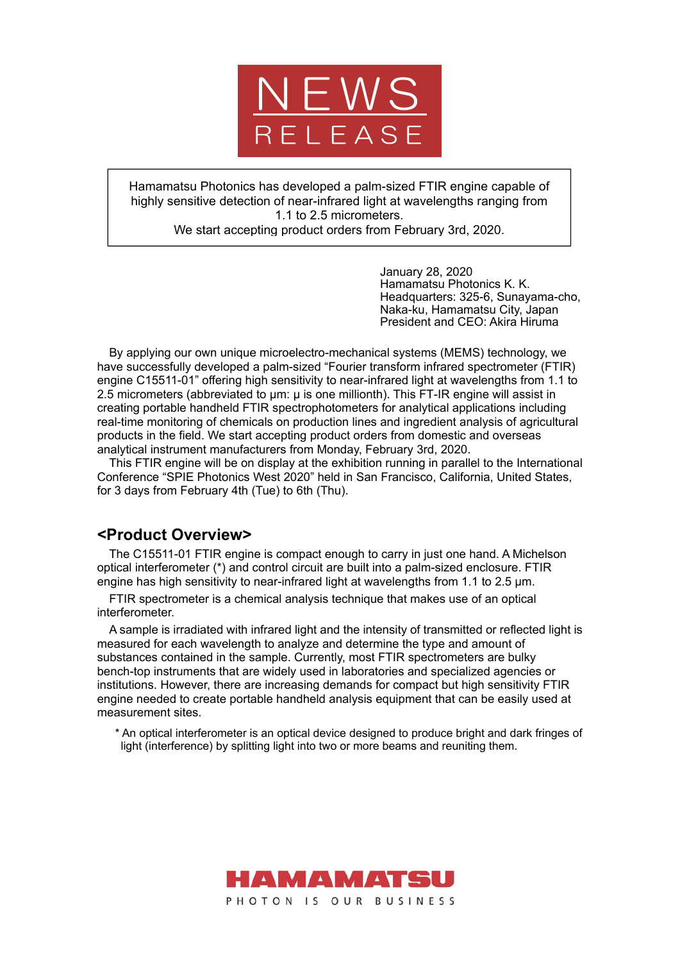

Hamamatsu Photonics has developed a palm-sized FTIR engine capable of highly sensitive detection of near-infrared light at wavelengths ranging from 1.1 to 2.5 micrometers.

We start accepting product orders from February 3rd, 2020.

January 28, 2020 Hamamatsu Photonics K. K. Headquarters: 325-6, Sunayama-cho, Naka-ku, Hamamatsu City, Japan President and CEO: Akira Hiruma

By applying our own unique microelectro-mechanical systems (MEMS) technology, we have successfully developed a palm-sized "Fourier transform infrared spectrometer (FTIR) engine C15511-01" offering high sensitivity to near-infrared light at wavelengths from 1.1 to 2.5 micrometers (abbreviated to μm: μ is one millionth). This FT-IR engine will assist in creating portable handheld FTIR spectrophotometers for analytical applications including real-time monitoring of chemicals on production lines and ingredient analysis of agricultural products in the field. We start accepting product orders from domestic and overseas analytical instrument manufacturers from Monday, February 3rd, 2020.

This FTIR engine will be on display at the exhibition running in parallel to the International Conference "SPIE Photonics West 2020" held in San Francisco, California, United States, for 3 days from February 4th (Tue) to 6th (Thu).

# **<Product Overview>**

The C15511-01 FTIR engine is compact enough to carry in just one hand. A Michelson optical interferometer (\*) and control circuit are built into a palm-sized enclosure. FTIR engine has high sensitivity to near-infrared light at wavelengths from 1.1 to 2.5 μm.

FTIR spectrometer is a chemical analysis technique that makes use of an optical interferometer.

A sample is irradiated with infrared light and the intensity of transmitted or reflected light is measured for each wavelength to analyze and determine the type and amount of substances contained in the sample. Currently, most FTIR spectrometers are bulky bench-top instruments that are widely used in laboratories and specialized agencies or institutions. However, there are increasing demands for compact but high sensitivity FTIR engine needed to create portable handheld analysis equipment that can be easily used at measurement sites.

\* An optical interferometer is an optical device designed to produce bright and dark fringes of light (interference) by splitting light into two or more beams and reuniting them.

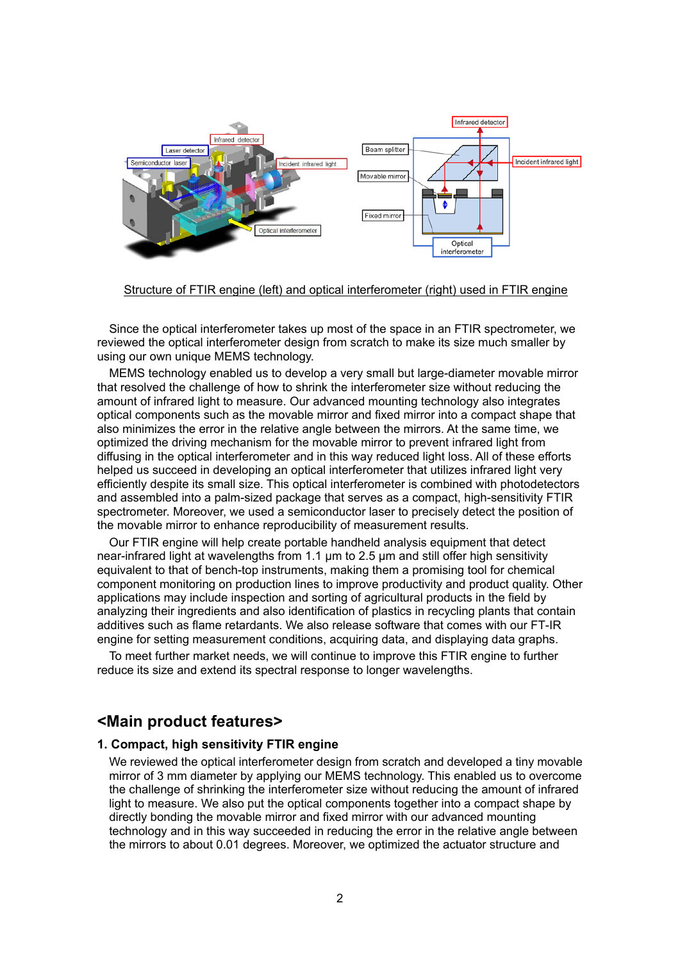

Structure of FTIR engine (left) and optical interferometer (right) used in FTIR engine

Since the optical interferometer takes up most of the space in an FTIR spectrometer, we reviewed the optical interferometer design from scratch to make its size much smaller by using our own unique MEMS technology.

MEMS technology enabled us to develop a very small but large-diameter movable mirror that resolved the challenge of how to shrink the interferometer size without reducing the amount of infrared light to measure. Our advanced mounting technology also integrates optical components such as the movable mirror and fixed mirror into a compact shape that also minimizes the error in the relative angle between the mirrors. At the same time, we optimized the driving mechanism for the movable mirror to prevent infrared light from diffusing in the optical interferometer and in this way reduced light loss. All of these efforts helped us succeed in developing an optical interferometer that utilizes infrared light very efficiently despite its small size. This optical interferometer is combined with photodetectors and assembled into a palm-sized package that serves as a compact, high-sensitivity FTIR spectrometer. Moreover, we used a semiconductor laser to precisely detect the position of the movable mirror to enhance reproducibility of measurement results.

Our FTIR engine will help create portable handheld analysis equipment that detect near-infrared light at wavelengths from 1.1 µm to 2.5 µm and still offer high sensitivity equivalent to that of bench-top instruments, making them a promising tool for chemical component monitoring on production lines to improve productivity and product quality. Other applications may include inspection and sorting of agricultural products in the field by analyzing their ingredients and also identification of plastics in recycling plants that contain additives such as flame retardants. We also release software that comes with our FT-IR engine for setting measurement conditions, acquiring data, and displaying data graphs.

To meet further market needs, we will continue to improve this FTIR engine to further reduce its size and extend its spectral response to longer wavelengths.

### **<Main product features>**

#### **1. Compact, high sensitivity FTIR engine**

We reviewed the optical interferometer design from scratch and developed a tiny movable mirror of 3 mm diameter by applying our MEMS technology. This enabled us to overcome the challenge of shrinking the interferometer size without reducing the amount of infrared light to measure. We also put the optical components together into a compact shape by directly bonding the movable mirror and fixed mirror with our advanced mounting technology and in this way succeeded in reducing the error in the relative angle between the mirrors to about 0.01 degrees. Moreover, we optimized the actuator structure and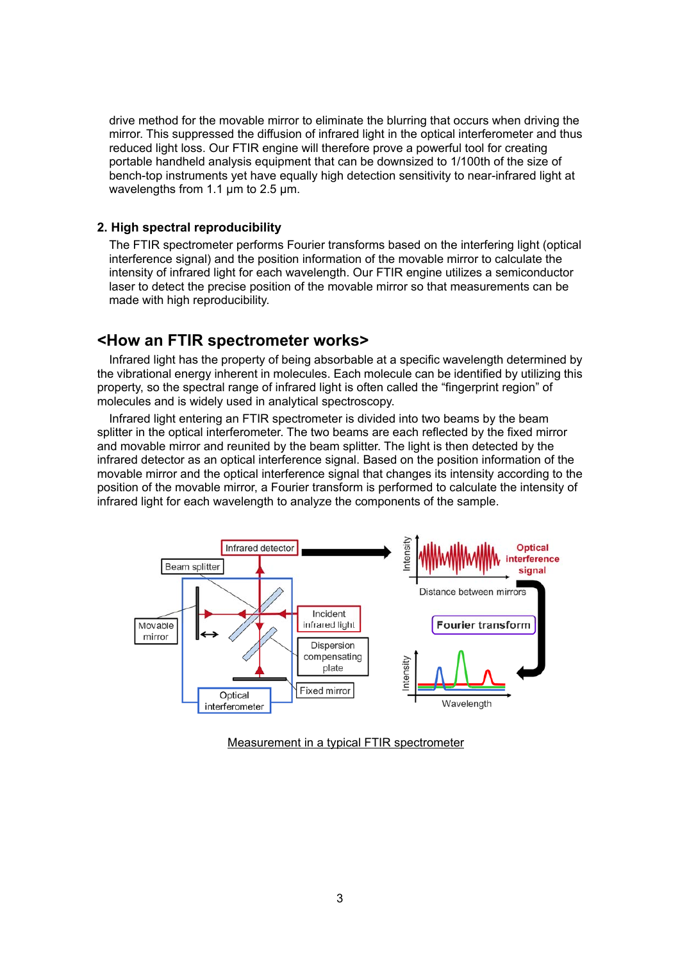drive method for the movable mirror to eliminate the blurring that occurs when driving the mirror. This suppressed the diffusion of infrared light in the optical interferometer and thus reduced light loss. Our FTIR engine will therefore prove a powerful tool for creating portable handheld analysis equipment that can be downsized to 1/100th of the size of bench-top instruments yet have equally high detection sensitivity to near-infrared light at wavelengths from 1.1 µm to 2.5 µm.

#### **2. High spectral reproducibility**

The FTIR spectrometer performs Fourier transforms based on the interfering light (optical interference signal) and the position information of the movable mirror to calculate the intensity of infrared light for each wavelength. Our FTIR engine utilizes a semiconductor laser to detect the precise position of the movable mirror so that measurements can be made with high reproducibility.

### **<How an FTIR spectrometer works>**

Infrared light has the property of being absorbable at a specific wavelength determined by the vibrational energy inherent in molecules. Each molecule can be identified by utilizing this property, so the spectral range of infrared light is often called the "fingerprint region" of molecules and is widely used in analytical spectroscopy.

Infrared light entering an FTIR spectrometer is divided into two beams by the beam splitter in the optical interferometer. The two beams are each reflected by the fixed mirror and movable mirror and reunited by the beam splitter. The light is then detected by the infrared detector as an optical interference signal. Based on the position information of the movable mirror and the optical interference signal that changes its intensity according to the position of the movable mirror, a Fourier transform is performed to calculate the intensity of infrared light for each wavelength to analyze the components of the sample.



Measurement in a typical FTIR spectrometer